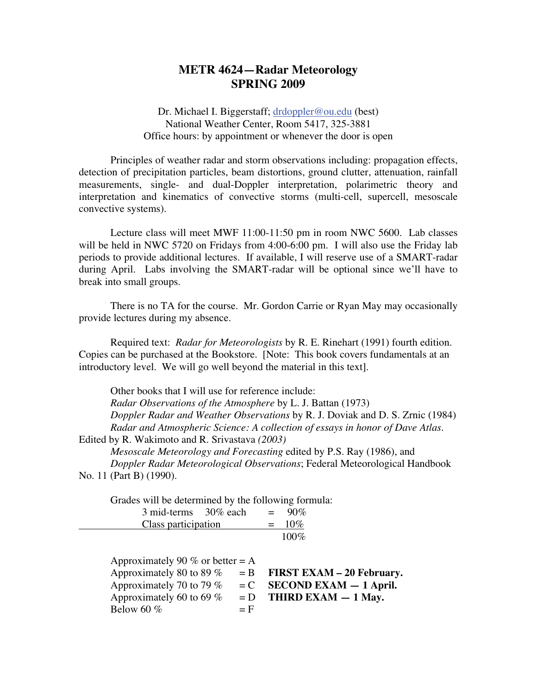## **METR 4624—Radar Meteorology SPRING 2009**

 Dr. Michael I. Biggerstaff; drdoppler@ou.edu (best) National Weather Center, Room 5417, 325-3881 Office hours: by appointment or whenever the door is open

 Principles of weather radar and storm observations including: propagation effects, detection of precipitation particles, beam distortions, ground clutter, attenuation, rainfall measurements, single- and dual-Doppler interpretation, polarimetric theory and interpretation and kinematics of convective storms (multi-cell, supercell, mesoscale convective systems).

 Lecture class will meet MWF 11:00-11:50 pm in room NWC 5600. Lab classes will be held in NWC 5720 on Fridays from 4:00-6:00 pm. I will also use the Friday lab periods to provide additional lectures. If available, I will reserve use of a SMART-radar during April. Labs involving the SMART-radar will be optional since we'll have to break into small groups.

 There is no TA for the course. Mr. Gordon Carrie or Ryan May may occasionally provide lectures during my absence.

 Required text: *Radar for Meteorologists* by R. E. Rinehart (1991) fourth edition. Copies can be purchased at the Bookstore. [Note: This book covers fundamentals at an introductory level. We will go well beyond the material in this text].

 Other books that I will use for reference include: *Radar Observations of the Atmosphere* by L. J. Battan (1973) *Doppler Radar and Weather Observations* by R. J. Doviak and D. S. Zrnic (1984) *Radar and Atmospheric Science: A collection of essays in honor of Dave Atlas.*  Edited by R. Wakimoto and R. Srivastava *(2003)*

*Mesoscale Meteorology and Forecasting* edited by P.S. Ray (1986), and *Doppler Radar Meteorological Observations*; Federal Meteorological Handbook No. 11 (Part B) (1990).

Grades will be determined by the following formula:

| 3 mid-terms 30% each |  | $= 90\%$ |
|----------------------|--|----------|
| Class participation  |  | $= 10\%$ |
|                      |  | $100\%$  |

| Approximately 90 % or better = A |       |                                   |
|----------------------------------|-------|-----------------------------------|
| Approximately 80 to 89 $%$       |       | $= B$ FIRST EXAM $- 20$ February. |
| Approximately 70 to 79 %         |       | $= C$ SECOND EXAM $- 1$ April.    |
| Approximately 60 to 69 $%$       |       | $= D$ THIRD EXAM $- 1$ May.       |
| Below 60 $%$                     | $=$ F |                                   |